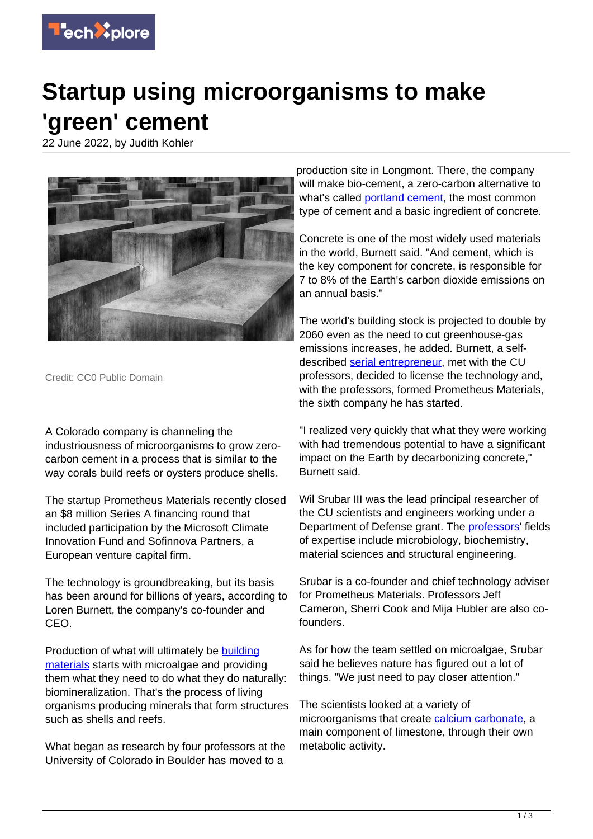

## **Startup using microorganisms to make 'green' cement**

22 June 2022, by Judith Kohler



Credit: CC0 Public Domain

A Colorado company is channeling the industriousness of microorganisms to grow zerocarbon cement in a process that is similar to the way corals build reefs or oysters produce shells.

The startup Prometheus Materials recently closed an \$8 million Series A financing round that included participation by the Microsoft Climate Innovation Fund and Sofinnova Partners, a European venture capital firm.

The technology is groundbreaking, but its basis has been around for billions of years, according to Loren Burnett, the company's co-founder and CEO.

Production of what will ultimately be [building](https://techxplore.com/tags/building+materials/) [materials](https://techxplore.com/tags/building+materials/) starts with microalgae and providing them what they need to do what they do naturally: biomineralization. That's the process of living organisms producing minerals that form structures such as shells and reefs.

What began as research by four professors at the University of Colorado in Boulder has moved to a

production site in Longmont. There, the company will make bio-cement, a zero-carbon alternative to what's called [portland cement](https://techxplore.com/tags/portland+cement/), the most common type of cement and a basic ingredient of concrete.

Concrete is one of the most widely used materials in the world, Burnett said. "And cement, which is the key component for concrete, is responsible for 7 to 8% of the Earth's carbon dioxide emissions on an annual basis."

The world's building stock is projected to double by 2060 even as the need to cut greenhouse-gas emissions increases, he added. Burnett, a selfdescribed [serial entrepreneur,](https://techxplore.com/tags/serial+entrepreneur/) met with the CU professors, decided to license the technology and, with the professors, formed Prometheus Materials, the sixth company he has started.

"I realized very quickly that what they were working with had tremendous potential to have a significant impact on the Earth by decarbonizing concrete," Burnett said.

Wil Srubar III was the lead principal researcher of the CU scientists and engineers working under a Department of Defense grant. The [professors](https://techxplore.com/tags/professors/)' fields of expertise include microbiology, biochemistry, material sciences and structural engineering.

Srubar is a co-founder and chief technology adviser for Prometheus Materials. Professors Jeff Cameron, Sherri Cook and Mija Hubler are also cofounders.

As for how the team settled on microalgae, Srubar said he believes nature has figured out a lot of things. "We just need to pay closer attention."

The scientists looked at a variety of microorganisms that create [calcium carbonate](https://techxplore.com/tags/calcium+carbonate/), a main component of limestone, through their own metabolic activity.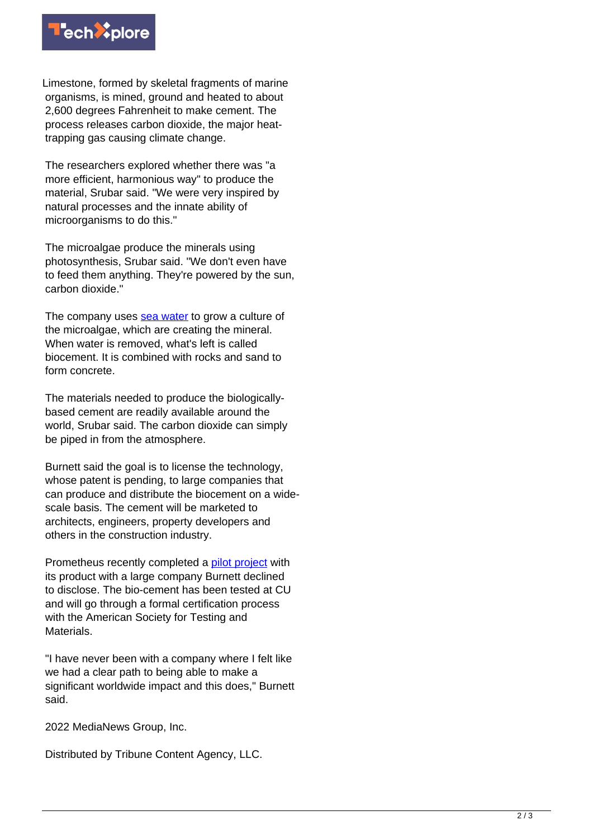

Limestone, formed by skeletal fragments of marine organisms, is mined, ground and heated to about 2,600 degrees Fahrenheit to make cement. The process releases carbon dioxide, the major heattrapping gas causing climate change.

The researchers explored whether there was "a more efficient, harmonious way" to produce the material, Srubar said. "We were very inspired by natural processes and the innate ability of microorganisms to do this."

The microalgae produce the minerals using photosynthesis, Srubar said. "We don't even have to feed them anything. They're powered by the sun, carbon dioxide."

The company uses [sea water](https://techxplore.com/tags/sea+water/) to grow a culture of the microalgae, which are creating the mineral. When water is removed, what's left is called biocement. It is combined with rocks and sand to form concrete.

The materials needed to produce the biologicallybased cement are readily available around the world, Srubar said. The carbon dioxide can simply be piped in from the atmosphere.

Burnett said the goal is to license the technology, whose patent is pending, to large companies that can produce and distribute the biocement on a widescale basis. The cement will be marketed to architects, engineers, property developers and others in the construction industry.

Prometheus recently completed a [pilot project](https://techxplore.com/tags/pilot+project/) with its product with a large company Burnett declined to disclose. The bio-cement has been tested at CU and will go through a formal certification process with the American Society for Testing and Materials.

"I have never been with a company where I felt like we had a clear path to being able to make a significant worldwide impact and this does," Burnett said.

2022 MediaNews Group, Inc.

Distributed by Tribune Content Agency, LLC.